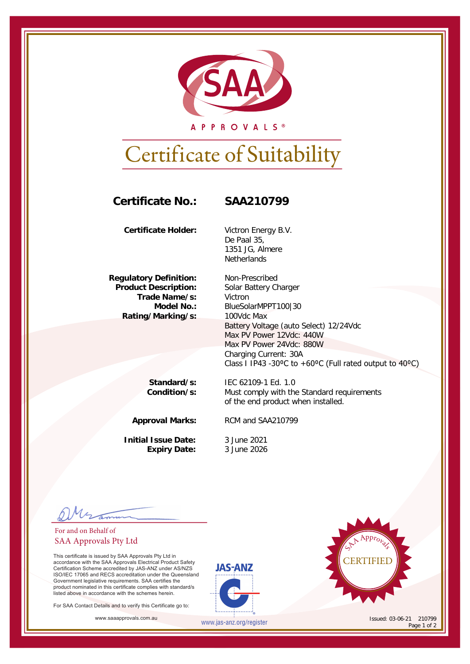

A P P R O V A L S ®

## Certificate of Suitability

## **Certificate No.: SAA210799**

**Certificate Holder:** Victron Energy B.V.

**Regulatory Definition:** Non-Prescribed<br>**Product Description:** Solar Battery Ch **Trade Name/s:**<br>: Model No **Rating/Marking/s:** 

De Paal 35, 1351 JG, Almere **Netherlands** 

**Solar Battery Charger<br>Victron** BlueSolarMPPT100|30<br>100Vdc Max Battery Voltage (auto Select) 12/24Vdc Max PV Power 12Vdc: 440W Max PV Power 24Vdc: 880W Charging Current: 30A Class I IP43 -30°C to +60°C (Full rated output to 40°C)

Must comply with the Standard requirements

of the end product when installed.

**Standard/s:** IEC 62109-1 Ed. 1.0<br>**Condition/s:** Must comply with the

**Approval Marks:** RCM and SAA210799

**Initial Issue Date:** 3 June 2021 **Expiry Date:** 3 June 2026

For and on Behalf of SAA Approvals Pty Ltd

This certificate is issued by SAA Approvals Pty Ltd in accordance with the SAA Approvals Electrical Product Safety Certification Scheme accredited by JAS-ANZ under AS/NZS ISO/IEC 17065 and RECS accreditation under the Queensland Government legislative requirements. SAA certifies the product nominated in this certificate complies with standard/s listed above in accordance with the schemes herein.

For SAA Contact Details and to verify this Certificate go to:





www.saaapprovals.com.au **Issued: 03-06-21** 210799 Page 1 of 2